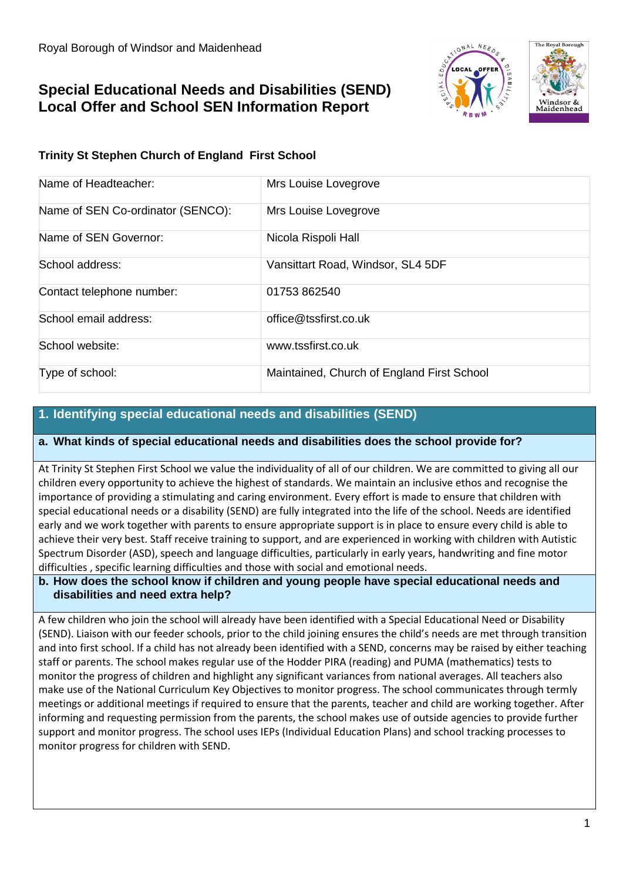# **Special Educational Needs and Disabilities (SEND) Local Offer and School SEN Information Report**





# **Trinity St Stephen Church of England First School**

| Name of Headteacher:              | Mrs Louise Lovegrove                       |
|-----------------------------------|--------------------------------------------|
| Name of SEN Co-ordinator (SENCO): | Mrs Louise Lovegrove                       |
| Name of SEN Governor:             | Nicola Rispoli Hall                        |
| School address:                   | Vansittart Road, Windsor, SL4 5DF          |
| Contact telephone number:         | 01753862540                                |
| School email address:             | office@tssfirst.co.uk                      |
| School website:                   | www.tssfirst.co.uk                         |
| Type of school:                   | Maintained, Church of England First School |

# **1. Identifying special educational needs and disabilities (SEND)**

#### **a. What kinds of special educational needs and disabilities does the school provide for?**

At Trinity St Stephen First School we value the individuality of all of our children. We are committed to giving all our children every opportunity to achieve the highest of standards. We maintain an inclusive ethos and recognise the importance of providing a stimulating and caring environment. Every effort is made to ensure that children with special educational needs or a disability (SEND) are fully integrated into the life of the school. Needs are identified early and we work together with parents to ensure appropriate support is in place to ensure every child is able to achieve their very best. Staff receive training to support, and are experienced in working with children with Autistic Spectrum Disorder (ASD), speech and language difficulties, particularly in early years, handwriting and fine motor difficulties , specific learning difficulties and those with social and emotional needs.

#### **b. How does the school know if children and young people have special educational needs and disabilities and need extra help?**

A few children who join the school will already have been identified with a Special Educational Need or Disability (SEND). Liaison with our feeder schools, prior to the child joining ensures the child's needs are met through transition and into first school. If a child has not already been identified with a SEND, concerns may be raised by either teaching staff or parents. The school makes regular use of the Hodder PIRA (reading) and PUMA (mathematics) tests to monitor the progress of children and highlight any significant variances from national averages. All teachers also make use of the National Curriculum Key Objectives to monitor progress. The school communicates through termly meetings or additional meetings if required to ensure that the parents, teacher and child are working together. After informing and requesting permission from the parents, the school makes use of outside agencies to provide further support and monitor progress. The school uses IEPs (Individual Education Plans) and school tracking processes to monitor progress for children with SEND.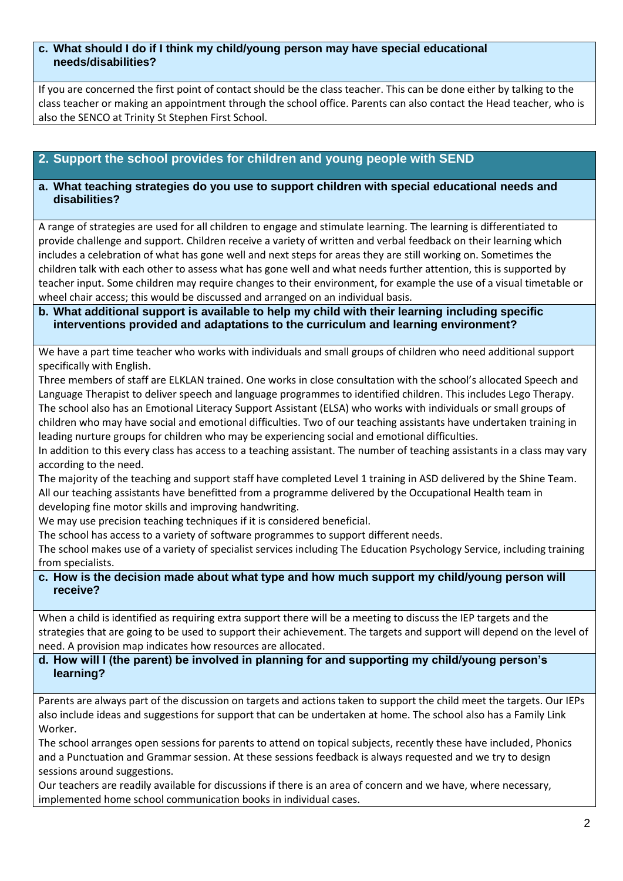#### **c. What should I do if I think my child/young person may have special educational needs/disabilities?**

If you are concerned the first point of contact should be the class teacher. This can be done either by talking to the class teacher or making an appointment through the school office. Parents can also contact the Head teacher, who is also the SENCO at Trinity St Stephen First School.

# **2. Support the school provides for children and young people with SEND**

#### **a. What teaching strategies do you use to support children with special educational needs and disabilities?**

A range of strategies are used for all children to engage and stimulate learning. The learning is differentiated to provide challenge and support. Children receive a variety of written and verbal feedback on their learning which includes a celebration of what has gone well and next steps for areas they are still working on. Sometimes the children talk with each other to assess what has gone well and what needs further attention, this is supported by teacher input. Some children may require changes to their environment, for example the use of a visual timetable or wheel chair access; this would be discussed and arranged on an individual basis.

#### **b. What additional support is available to help my child with their learning including specific interventions provided and adaptations to the curriculum and learning environment?**

We have a part time teacher who works with individuals and small groups of children who need additional support specifically with English.

Three members of staff are ELKLAN trained. One works in close consultation with the school's allocated Speech and Language Therapist to deliver speech and language programmes to identified children. This includes Lego Therapy. The school also has an Emotional Literacy Support Assistant (ELSA) who works with individuals or small groups of children who may have social and emotional difficulties. Two of our teaching assistants have undertaken training in leading nurture groups for children who may be experiencing social and emotional difficulties.

In addition to this every class has access to a teaching assistant. The number of teaching assistants in a class may vary according to the need.

The majority of the teaching and support staff have completed Level 1 training in ASD delivered by the Shine Team. All our teaching assistants have benefitted from a programme delivered by the Occupational Health team in developing fine motor skills and improving handwriting.

We may use precision teaching techniques if it is considered beneficial.

The school has access to a variety of software programmes to support different needs.

The school makes use of a variety of specialist services including The Education Psychology Service, including training from specialists.

**c. How is the decision made about what type and how much support my child/young person will receive?**

When a child is identified as requiring extra support there will be a meeting to discuss the IEP targets and the strategies that are going to be used to support their achievement. The targets and support will depend on the level of need. A provision map indicates how resources are allocated.

#### **d. How will I (the parent) be involved in planning for and supporting my child/young person's learning?**

Parents are always part of the discussion on targets and actions taken to support the child meet the targets. Our IEPs also include ideas and suggestions for support that can be undertaken at home. The school also has a Family Link Worker.

The school arranges open sessions for parents to attend on topical subjects, recently these have included, Phonics and a Punctuation and Grammar session. At these sessions feedback is always requested and we try to design sessions around suggestions.

Our teachers are readily available for discussions if there is an area of concern and we have, where necessary, implemented home school communication books in individual cases.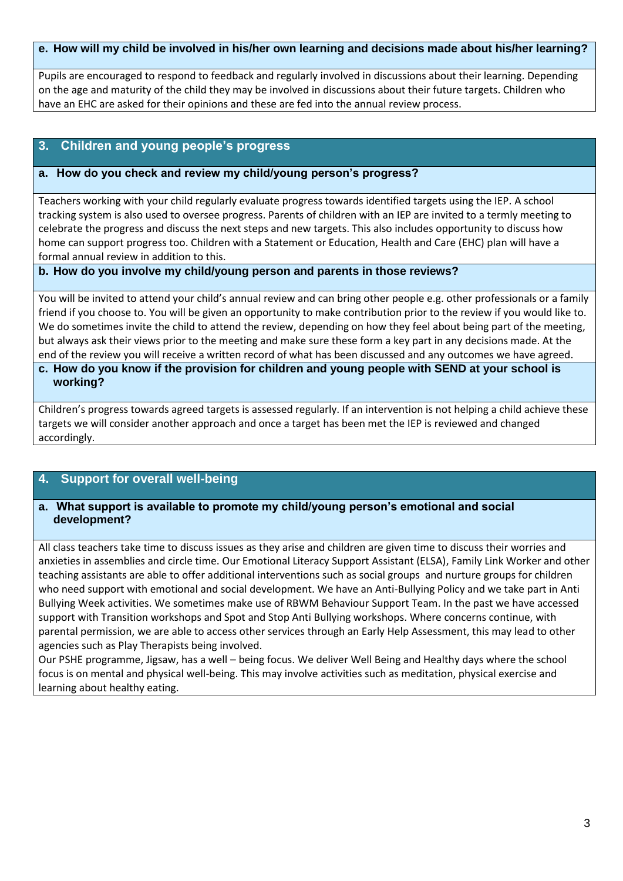#### **e. How will my child be involved in his/her own learning and decisions made about his/her learning?**

Pupils are encouraged to respond to feedback and regularly involved in discussions about their learning. Depending on the age and maturity of the child they may be involved in discussions about their future targets. Children who have an EHC are asked for their opinions and these are fed into the annual review process.

#### **3. Children and young people's progress**

#### **a. How do you check and review my child/young person's progress?**

Teachers working with your child regularly evaluate progress towards identified targets using the IEP. A school tracking system is also used to oversee progress. Parents of children with an IEP are invited to a termly meeting to celebrate the progress and discuss the next steps and new targets. This also includes opportunity to discuss how home can support progress too. Children with a Statement or Education, Health and Care (EHC) plan will have a formal annual review in addition to this.

#### **b. How do you involve my child/young person and parents in those reviews?**

You will be invited to attend your child's annual review and can bring other people e.g. other professionals or a family friend if you choose to. You will be given an opportunity to make contribution prior to the review if you would like to. We do sometimes invite the child to attend the review, depending on how they feel about being part of the meeting, but always ask their views prior to the meeting and make sure these form a key part in any decisions made. At the end of the review you will receive a written record of what has been discussed and any outcomes we have agreed.

#### **c. How do you know if the provision for children and young people with SEND at your school is working?**

Children's progress towards agreed targets is assessed regularly. If an intervention is not helping a child achieve these targets we will consider another approach and once a target has been met the IEP is reviewed and changed accordingly.

#### **4. Support for overall well-being**

#### **a. What support is available to promote my child/young person's emotional and social development?**

All class teachers take time to discuss issues as they arise and children are given time to discuss their worries and anxieties in assemblies and circle time. Our Emotional Literacy Support Assistant (ELSA), Family Link Worker and other teaching assistants are able to offer additional interventions such as social groups and nurture groups for children who need support with emotional and social development. We have an Anti-Bullying Policy and we take part in Anti Bullying Week activities. We sometimes make use of RBWM Behaviour Support Team. In the past we have accessed support with Transition workshops and Spot and Stop Anti Bullying workshops. Where concerns continue, with parental permission, we are able to access other services through an Early Help Assessment, this may lead to other agencies such as Play Therapists being involved.

Our PSHE programme, Jigsaw, has a well – being focus. We deliver Well Being and Healthy days where the school focus is on mental and physical well-being. This may involve activities such as meditation, physical exercise and learning about healthy eating.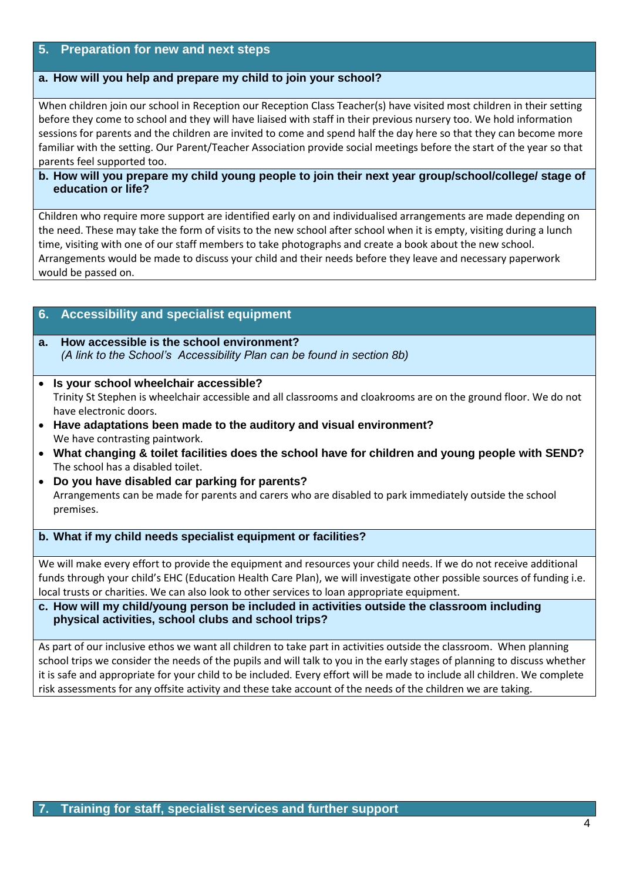### **5. Preparation for new and next steps**

#### **a. How will you help and prepare my child to join your school?**

When children join our school in Reception our Reception Class Teacher(s) have visited most children in their setting before they come to school and they will have liaised with staff in their previous nursery too. We hold information sessions for parents and the children are invited to come and spend half the day here so that they can become more familiar with the setting. Our Parent/Teacher Association provide social meetings before the start of the year so that parents feel supported too.

#### **b. How will you prepare my child young people to join their next year group/school/college/ stage of education or life?**

Children who require more support are identified early on and individualised arrangements are made depending on the need. These may take the form of visits to the new school after school when it is empty, visiting during a lunch time, visiting with one of our staff members to take photographs and create a book about the new school. Arrangements would be made to discuss your child and their needs before they leave and necessary paperwork would be passed on.

# **6. Accessibility and specialist equipment**

#### **a. How accessible is the school environment?**  *(A link to the School's Accessibility Plan can be found in section 8b)*

- **Is your school wheelchair accessible?**  Trinity St Stephen is wheelchair accessible and all classrooms and cloakrooms are on the ground floor. We do not have electronic doors.
- **Have adaptations been made to the auditory and visual environment?**  We have contrasting paintwork.
- **What changing & toilet facilities does the school have for children and young people with SEND?** The school has a disabled toilet.
- **Do you have disabled car parking for parents?**  Arrangements can be made for parents and carers who are disabled to park immediately outside the school premises.

#### **b. What if my child needs specialist equipment or facilities?**

We will make every effort to provide the equipment and resources your child needs. If we do not receive additional funds through your child's EHC (Education Health Care Plan), we will investigate other possible sources of funding i.e. local trusts or charities. We can also look to other services to loan appropriate equipment.

**c. How will my child/young person be included in activities outside the classroom including physical activities, school clubs and school trips?**

As part of our inclusive ethos we want all children to take part in activities outside the classroom. When planning school trips we consider the needs of the pupils and will talk to you in the early stages of planning to discuss whether it is safe and appropriate for your child to be included. Every effort will be made to include all children. We complete risk assessments for any offsite activity and these take account of the needs of the children we are taking.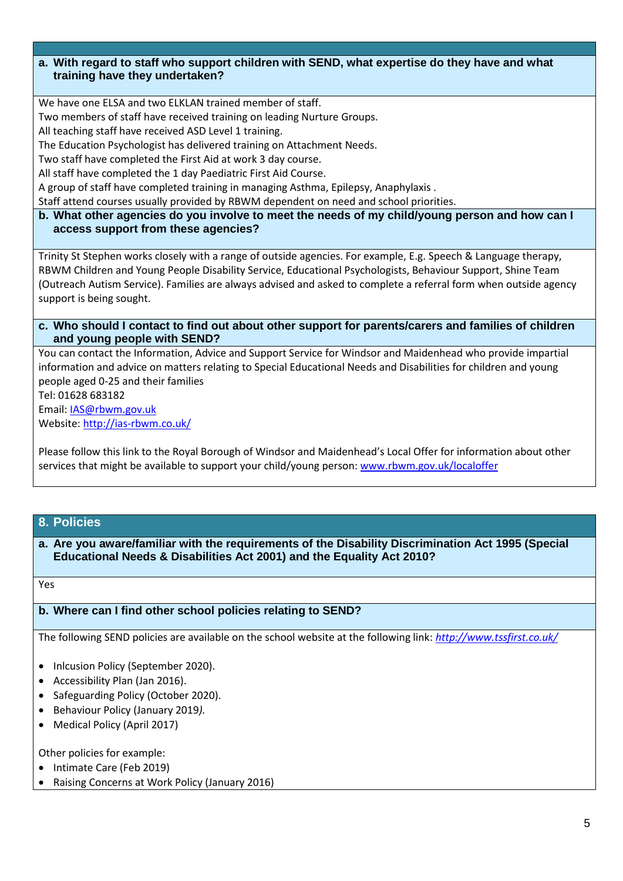#### **a. With regard to staff who support children with SEND, what expertise do they have and what training have they undertaken?**

We have one ELSA and two ELKLAN trained member of staff.

Two members of staff have received training on leading Nurture Groups.

All teaching staff have received ASD Level 1 training.

The Education Psychologist has delivered training on Attachment Needs.

Two staff have completed the First Aid at work 3 day course.

All staff have completed the 1 day Paediatric First Aid Course.

A group of staff have completed training in managing Asthma, Epilepsy, Anaphylaxis .

Staff attend courses usually provided by RBWM dependent on need and school priorities.

**b. What other agencies do you involve to meet the needs of my child/young person and how can I access support from these agencies?** 

Trinity St Stephen works closely with a range of outside agencies. For example, E.g. Speech & Language therapy, RBWM Children and Young People Disability Service, Educational Psychologists, Behaviour Support, Shine Team (Outreach Autism Service). Families are always advised and asked to complete a referral form when outside agency support is being sought.

**c. Who should I contact to find out about other support for parents/carers and families of children and young people with SEND?**

You can contact the Information, Advice and Support Service for Windsor and Maidenhead who provide impartial information and advice on matters relating to Special Educational Needs and Disabilities for children and young people aged 0-25 and their families

Tel: 01628 683182

Email: [IAS@rbwm.gov.uk](mailto:IAS@rbwm.gov.uk)

Website: <http://ias-rbwm.co.uk/>

Please follow this link to the Royal Borough of Windsor and Maidenhead's Local Offer for information about other services that might be available to support your child/young person: [www.rbwm.gov.uk/localoffer](http://www.rbwm.gov.uk/localoffer)

# **8. Policies**

**a. Are you aware/familiar with the requirements of the Disability Discrimination Act 1995 (Special Educational Needs & Disabilities Act 2001) and the Equality Act 2010?**

Yes

#### **b. Where can I find other school policies relating to SEND?**

The following SEND policies are available on the school website at the following link: *<http://www.tssfirst.co.uk/>*

- Inlcusion Policy (September 2020).
- Accessibility Plan (Jan 2016).
- Safeguarding Policy (October 2020).
- Behaviour Policy (January 2019*).*
- Medical Policy (April 2017)

Other policies for example:

- Intimate Care (Feb 2019)
- Raising Concerns at Work Policy (January 2016)